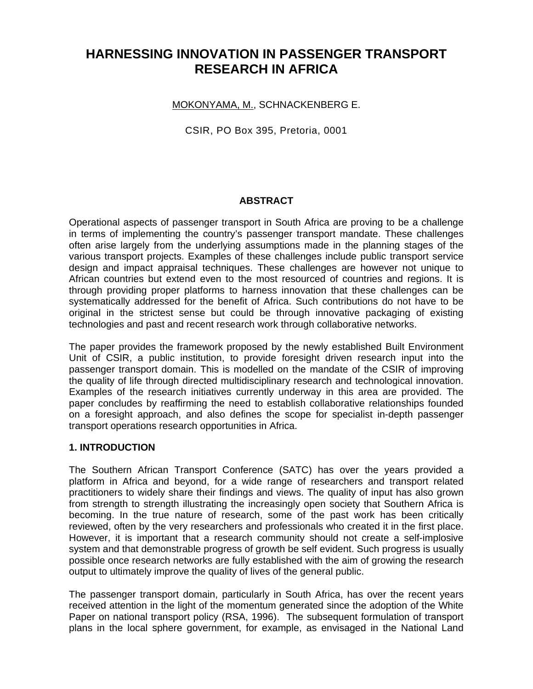# **HARNESSING INNOVATION IN PASSENGER TRANSPORT RESEARCH IN AFRICA**

## MOKONYAMA, M., SCHNACKENBERG E.

CSIR, PO Box 395, Pretoria, 0001

## **ABSTRACT**

Operational aspects of passenger transport in South Africa are proving to be a challenge in terms of implementing the country's passenger transport mandate. These challenges often arise largely from the underlying assumptions made in the planning stages of the various transport projects. Examples of these challenges include public transport service design and impact appraisal techniques. These challenges are however not unique to African countries but extend even to the most resourced of countries and regions. It is through providing proper platforms to harness innovation that these challenges can be systematically addressed for the benefit of Africa. Such contributions do not have to be original in the strictest sense but could be through innovative packaging of existing technologies and past and recent research work through collaborative networks.

The paper provides the framework proposed by the newly established Built Environment Unit of CSIR, a public institution, to provide foresight driven research input into the passenger transport domain. This is modelled on the mandate of the CSIR of improving the quality of life through directed multidisciplinary research and technological innovation. Examples of the research initiatives currently underway in this area are provided. The paper concludes by reaffirming the need to establish collaborative relationships founded on a foresight approach, and also defines the scope for specialist in-depth passenger transport operations research opportunities in Africa.

#### **1. INTRODUCTION**

The Southern African Transport Conference (SATC) has over the years provided a platform in Africa and beyond, for a wide range of researchers and transport related practitioners to widely share their findings and views. The quality of input has also grown from strength to strength illustrating the increasingly open society that Southern Africa is becoming. In the true nature of research, some of the past work has been critically reviewed, often by the very researchers and professionals who created it in the first place. However, it is important that a research community should not create a self-implosive system and that demonstrable progress of growth be self evident. Such progress is usually possible once research networks are fully established with the aim of growing the research output to ultimately improve the quality of lives of the general public.

The passenger transport domain, particularly in South Africa, has over the recent years received attention in the light of the momentum generated since the adoption of the White Paper on national transport policy (RSA, 1996). The subsequent formulation of transport plans in the local sphere government, for example, as envisaged in the National Land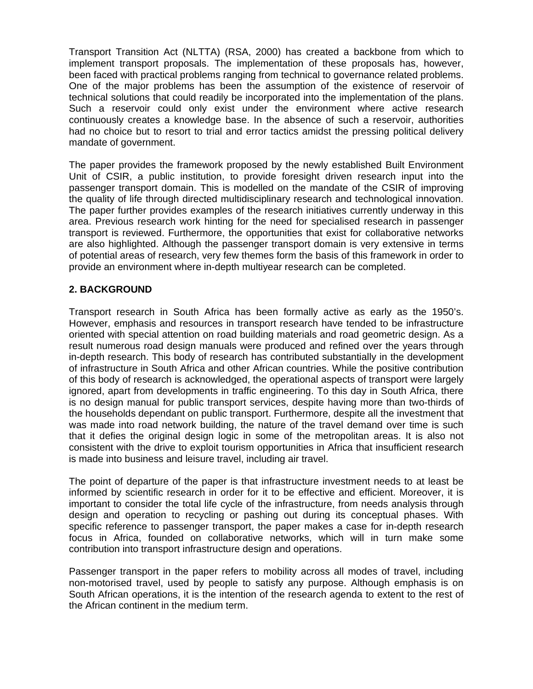Transport Transition Act (NLTTA) (RSA, 2000) has created a backbone from which to implement transport proposals. The implementation of these proposals has, however, been faced with practical problems ranging from technical to governance related problems. One of the major problems has been the assumption of the existence of reservoir of technical solutions that could readily be incorporated into the implementation of the plans. Such a reservoir could only exist under the environment where active research continuously creates a knowledge base. In the absence of such a reservoir, authorities had no choice but to resort to trial and error tactics amidst the pressing political delivery mandate of government.

The paper provides the framework proposed by the newly established Built Environment Unit of CSIR, a public institution, to provide foresight driven research input into the passenger transport domain. This is modelled on the mandate of the CSIR of improving the quality of life through directed multidisciplinary research and technological innovation. The paper further provides examples of the research initiatives currently underway in this area. Previous research work hinting for the need for specialised research in passenger transport is reviewed. Furthermore, the opportunities that exist for collaborative networks are also highlighted. Although the passenger transport domain is very extensive in terms of potential areas of research, very few themes form the basis of this framework in order to provide an environment where in-depth multiyear research can be completed.

# **2. BACKGROUND**

Transport research in South Africa has been formally active as early as the 1950's. However, emphasis and resources in transport research have tended to be infrastructure oriented with special attention on road building materials and road geometric design. As a result numerous road design manuals were produced and refined over the years through in-depth research. This body of research has contributed substantially in the development of infrastructure in South Africa and other African countries. While the positive contribution of this body of research is acknowledged, the operational aspects of transport were largely ignored, apart from developments in traffic engineering. To this day in South Africa, there is no design manual for public transport services, despite having more than two-thirds of the households dependant on public transport. Furthermore, despite all the investment that was made into road network building, the nature of the travel demand over time is such that it defies the original design logic in some of the metropolitan areas. It is also not consistent with the drive to exploit tourism opportunities in Africa that insufficient research is made into business and leisure travel, including air travel.

The point of departure of the paper is that infrastructure investment needs to at least be informed by scientific research in order for it to be effective and efficient. Moreover, it is important to consider the total life cycle of the infrastructure, from needs analysis through design and operation to recycling or pashing out during its conceptual phases. With specific reference to passenger transport, the paper makes a case for in-depth research focus in Africa, founded on collaborative networks, which will in turn make some contribution into transport infrastructure design and operations.

Passenger transport in the paper refers to mobility across all modes of travel, including non-motorised travel, used by people to satisfy any purpose. Although emphasis is on South African operations, it is the intention of the research agenda to extent to the rest of the African continent in the medium term.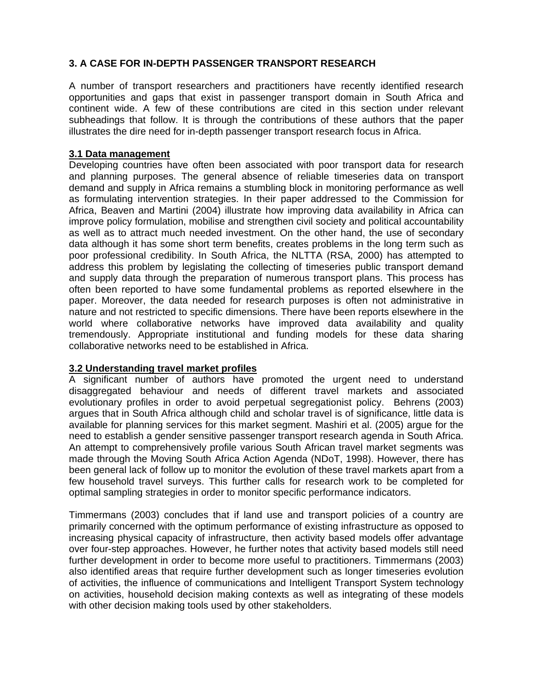## **3. A CASE FOR IN-DEPTH PASSENGER TRANSPORT RESEARCH**

A number of transport researchers and practitioners have recently identified research opportunities and gaps that exist in passenger transport domain in South Africa and continent wide. A few of these contributions are cited in this section under relevant subheadings that follow. It is through the contributions of these authors that the paper illustrates the dire need for in-depth passenger transport research focus in Africa.

#### **3.1 Data management**

Developing countries have often been associated with poor transport data for research and planning purposes. The general absence of reliable timeseries data on transport demand and supply in Africa remains a stumbling block in monitoring performance as well as formulating intervention strategies. In their paper addressed to the Commission for Africa, Beaven and Martini (2004) illustrate how improving data availability in Africa can improve policy formulation, mobilise and strengthen civil society and political accountability as well as to attract much needed investment. On the other hand, the use of secondary data although it has some short term benefits, creates problems in the long term such as poor professional credibility. In South Africa, the NLTTA (RSA, 2000) has attempted to address this problem by legislating the collecting of timeseries public transport demand and supply data through the preparation of numerous transport plans. This process has often been reported to have some fundamental problems as reported elsewhere in the paper. Moreover, the data needed for research purposes is often not administrative in nature and not restricted to specific dimensions. There have been reports elsewhere in the world where collaborative networks have improved data availability and quality tremendously. Appropriate institutional and funding models for these data sharing collaborative networks need to be established in Africa.

#### **3.2 Understanding travel market profiles**

A significant number of authors have promoted the urgent need to understand disaggregated behaviour and needs of different travel markets and associated evolutionary profiles in order to avoid perpetual segregationist policy. Behrens (2003) argues that in South Africa although child and scholar travel is of significance, little data is available for planning services for this market segment. Mashiri et al. (2005) argue for the need to establish a gender sensitive passenger transport research agenda in South Africa. An attempt to comprehensively profile various South African travel market segments was made through the Moving South Africa Action Agenda (NDoT, 1998). However, there has been general lack of follow up to monitor the evolution of these travel markets apart from a few household travel surveys. This further calls for research work to be completed for optimal sampling strategies in order to monitor specific performance indicators.

Timmermans (2003) concludes that if land use and transport policies of a country are primarily concerned with the optimum performance of existing infrastructure as opposed to increasing physical capacity of infrastructure, then activity based models offer advantage over four-step approaches. However, he further notes that activity based models still need further development in order to become more useful to practitioners. Timmermans (2003) also identified areas that require further development such as longer timeseries evolution of activities, the influence of communications and Intelligent Transport System technology on activities, household decision making contexts as well as integrating of these models with other decision making tools used by other stakeholders.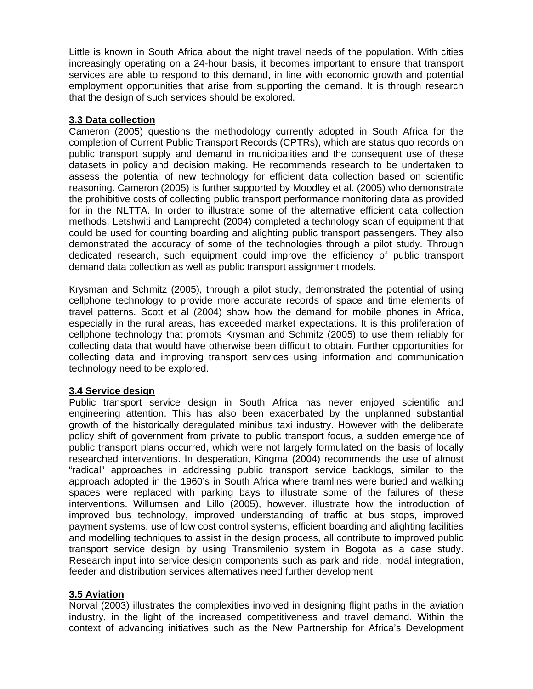Little is known in South Africa about the night travel needs of the population. With cities increasingly operating on a 24-hour basis, it becomes important to ensure that transport services are able to respond to this demand, in line with economic growth and potential employment opportunities that arise from supporting the demand. It is through research that the design of such services should be explored.

## **3.3 Data collection**

Cameron (2005) questions the methodology currently adopted in South Africa for the completion of Current Public Transport Records (CPTRs), which are status quo records on public transport supply and demand in municipalities and the consequent use of these datasets in policy and decision making. He recommends research to be undertaken to assess the potential of new technology for efficient data collection based on scientific reasoning. Cameron (2005) is further supported by Moodley et al. (2005) who demonstrate the prohibitive costs of collecting public transport performance monitoring data as provided for in the NLTTA. In order to illustrate some of the alternative efficient data collection methods, Letshwiti and Lamprecht (2004) completed a technology scan of equipment that could be used for counting boarding and alighting public transport passengers. They also demonstrated the accuracy of some of the technologies through a pilot study. Through dedicated research, such equipment could improve the efficiency of public transport demand data collection as well as public transport assignment models.

Krysman and Schmitz (2005), through a pilot study, demonstrated the potential of using cellphone technology to provide more accurate records of space and time elements of travel patterns. Scott et al (2004) show how the demand for mobile phones in Africa, especially in the rural areas, has exceeded market expectations. It is this proliferation of cellphone technology that prompts Krysman and Schmitz (2005) to use them reliably for collecting data that would have otherwise been difficult to obtain. Further opportunities for collecting data and improving transport services using information and communication technology need to be explored.

# **3.4 Service design**

Public transport service design in South Africa has never enjoyed scientific and engineering attention. This has also been exacerbated by the unplanned substantial growth of the historically deregulated minibus taxi industry. However with the deliberate policy shift of government from private to public transport focus, a sudden emergence of public transport plans occurred, which were not largely formulated on the basis of locally researched interventions. In desperation, Kingma (2004) recommends the use of almost "radical" approaches in addressing public transport service backlogs, similar to the approach adopted in the 1960's in South Africa where tramlines were buried and walking spaces were replaced with parking bays to illustrate some of the failures of these interventions. Willumsen and Lillo (2005), however, illustrate how the introduction of improved bus technology, improved understanding of traffic at bus stops, improved payment systems, use of low cost control systems, efficient boarding and alighting facilities and modelling techniques to assist in the design process, all contribute to improved public transport service design by using Transmilenio system in Bogota as a case study. Research input into service design components such as park and ride, modal integration, feeder and distribution services alternatives need further development.

#### **3.5 Aviation**

Norval (2003) illustrates the complexities involved in designing flight paths in the aviation industry, in the light of the increased competitiveness and travel demand. Within the context of advancing initiatives such as the New Partnership for Africa's Development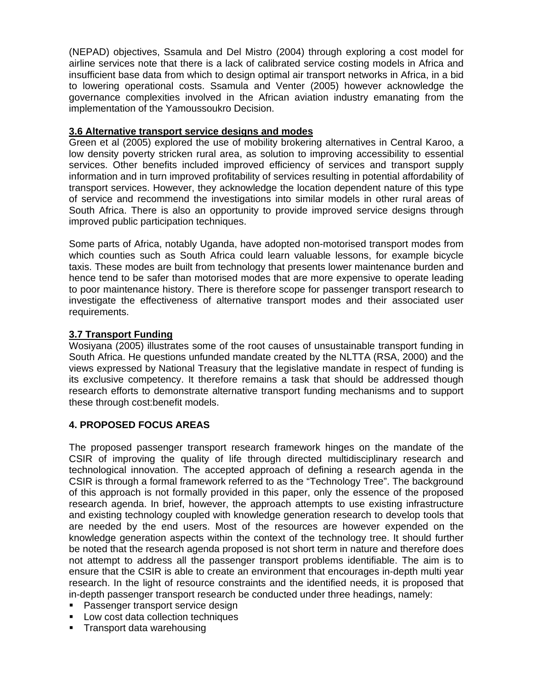(NEPAD) objectives, Ssamula and Del Mistro (2004) through exploring a cost model for airline services note that there is a lack of calibrated service costing models in Africa and insufficient base data from which to design optimal air transport networks in Africa, in a bid to lowering operational costs. Ssamula and Venter (2005) however acknowledge the governance complexities involved in the African aviation industry emanating from the implementation of the Yamoussoukro Decision.

## **3.6 Alternative transport service designs and modes**

Green et al (2005) explored the use of mobility brokering alternatives in Central Karoo, a low density poverty stricken rural area, as solution to improving accessibility to essential services. Other benefits included improved efficiency of services and transport supply information and in turn improved profitability of services resulting in potential affordability of transport services. However, they acknowledge the location dependent nature of this type of service and recommend the investigations into similar models in other rural areas of South Africa. There is also an opportunity to provide improved service designs through improved public participation techniques.

Some parts of Africa, notably Uganda, have adopted non-motorised transport modes from which counties such as South Africa could learn valuable lessons, for example bicycle taxis. These modes are built from technology that presents lower maintenance burden and hence tend to be safer than motorised modes that are more expensive to operate leading to poor maintenance history. There is therefore scope for passenger transport research to investigate the effectiveness of alternative transport modes and their associated user requirements.

## **3.7 Transport Funding**

Wosiyana (2005) illustrates some of the root causes of unsustainable transport funding in South Africa. He questions unfunded mandate created by the NLTTA (RSA, 2000) and the views expressed by National Treasury that the legislative mandate in respect of funding is its exclusive competency. It therefore remains a task that should be addressed though research efforts to demonstrate alternative transport funding mechanisms and to support these through cost:benefit models.

# **4. PROPOSED FOCUS AREAS**

The proposed passenger transport research framework hinges on the mandate of the CSIR of improving the quality of life through directed multidisciplinary research and technological innovation. The accepted approach of defining a research agenda in the CSIR is through a formal framework referred to as the "Technology Tree". The background of this approach is not formally provided in this paper, only the essence of the proposed research agenda. In brief, however, the approach attempts to use existing infrastructure and existing technology coupled with knowledge generation research to develop tools that are needed by the end users. Most of the resources are however expended on the knowledge generation aspects within the context of the technology tree. It should further be noted that the research agenda proposed is not short term in nature and therefore does not attempt to address all the passenger transport problems identifiable. The aim is to ensure that the CSIR is able to create an environment that encourages in-depth multi year research. In the light of resource constraints and the identified needs, it is proposed that in-depth passenger transport research be conducted under three headings, namely:

- **Passenger transport service design**
- **Low cost data collection techniques**
- **Transport data warehousing**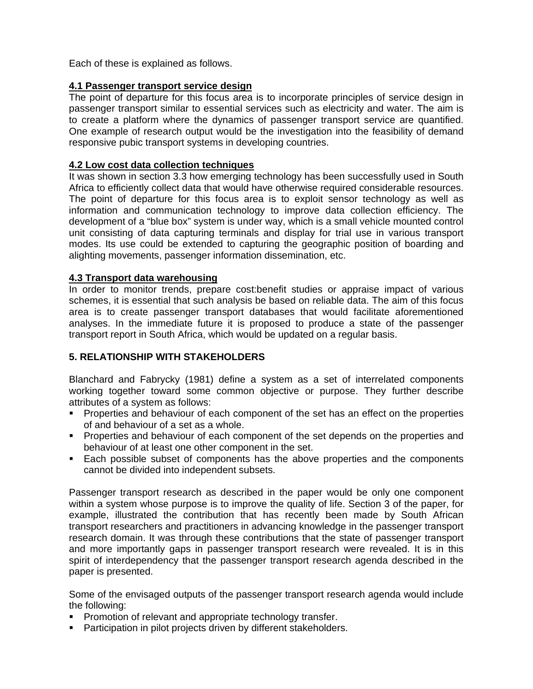Each of these is explained as follows.

## **4.1 Passenger transport service design**

The point of departure for this focus area is to incorporate principles of service design in passenger transport similar to essential services such as electricity and water. The aim is to create a platform where the dynamics of passenger transport service are quantified. One example of research output would be the investigation into the feasibility of demand responsive pubic transport systems in developing countries.

## **4.2 Low cost data collection techniques**

It was shown in section 3.3 how emerging technology has been successfully used in South Africa to efficiently collect data that would have otherwise required considerable resources. The point of departure for this focus area is to exploit sensor technology as well as information and communication technology to improve data collection efficiency. The development of a "blue box" system is under way, which is a small vehicle mounted control unit consisting of data capturing terminals and display for trial use in various transport modes. Its use could be extended to capturing the geographic position of boarding and alighting movements, passenger information dissemination, etc.

#### **4.3 Transport data warehousing**

In order to monitor trends, prepare cost:benefit studies or appraise impact of various schemes, it is essential that such analysis be based on reliable data. The aim of this focus area is to create passenger transport databases that would facilitate aforementioned analyses. In the immediate future it is proposed to produce a state of the passenger transport report in South Africa, which would be updated on a regular basis.

# **5. RELATIONSHIP WITH STAKEHOLDERS**

Blanchard and Fabrycky (1981) define a system as a set of interrelated components working together toward some common objective or purpose. They further describe attributes of a system as follows:

- Properties and behaviour of each component of the set has an effect on the properties of and behaviour of a set as a whole.
- **Properties and behaviour of each component of the set depends on the properties and** behaviour of at least one other component in the set.
- Each possible subset of components has the above properties and the components cannot be divided into independent subsets.

Passenger transport research as described in the paper would be only one component within a system whose purpose is to improve the quality of life. Section 3 of the paper, for example, illustrated the contribution that has recently been made by South African transport researchers and practitioners in advancing knowledge in the passenger transport research domain. It was through these contributions that the state of passenger transport and more importantly gaps in passenger transport research were revealed. It is in this spirit of interdependency that the passenger transport research agenda described in the paper is presented.

Some of the envisaged outputs of the passenger transport research agenda would include the following:

- **Promotion of relevant and appropriate technology transfer.**
- **Participation in pilot projects driven by different stakeholders.**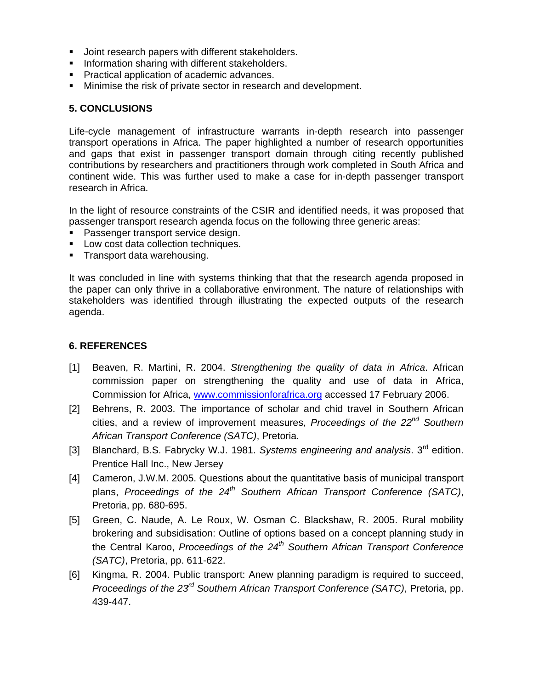- **Joint research papers with different stakeholders.**
- **Information sharing with different stakeholders.**
- **Practical application of academic advances.**
- **Minimise the risk of private sector in research and development.**

#### **5. CONCLUSIONS**

Life-cycle management of infrastructure warrants in-depth research into passenger transport operations in Africa. The paper highlighted a number of research opportunities and gaps that exist in passenger transport domain through citing recently published contributions by researchers and practitioners through work completed in South Africa and continent wide. This was further used to make a case for in-depth passenger transport research in Africa.

In the light of resource constraints of the CSIR and identified needs, it was proposed that passenger transport research agenda focus on the following three generic areas:

- **Passenger transport service design.**
- **Low cost data collection techniques.**
- **Transport data warehousing.**

It was concluded in line with systems thinking that that the research agenda proposed in the paper can only thrive in a collaborative environment. The nature of relationships with stakeholders was identified through illustrating the expected outputs of the research agenda.

#### **6. REFERENCES**

- [1] Beaven, R. Martini, R. 2004. Strengthening the quality of data in Africa. African commission paper on strengthening the quality and use of data in Africa, Commission for Africa, www.commissionforafrica.org accessed 17 February 2006.
- [2] Behrens, R. 2003. The importance of scholar and chid travel in Southern African cities, and a review of improvement measures, Proceedings of the  $22^{nd}$  Southern African Transport Conference (SATC), Pretoria.
- [3] Blanchard, B.S. Fabrycky W.J. 1981. Systems engineering and analysis.  $3<sup>rd</sup>$  edition. Prentice Hall Inc., New Jersey
- [4] Cameron, J.W.M. 2005. Questions about the quantitative basis of municipal transport plans, Proceedings of the  $24<sup>th</sup>$  Southern African Transport Conference (SATC), Pretoria, pp. 680-695.
- [5] Green, C. Naude, A. Le Roux, W. Osman C. Blackshaw, R. 2005. Rural mobility brokering and subsidisation: Outline of options based on a concept planning study in the Central Karoo, Proceedings of the  $24<sup>th</sup>$  Southern African Transport Conference (SATC), Pretoria, pp. 611-622.
- [6] Kingma, R. 2004. Public transport: Anew planning paradigm is required to succeed, Proceedings of the  $23<sup>rd</sup>$  Southern African Transport Conference (SATC), Pretoria, pp. 439-447.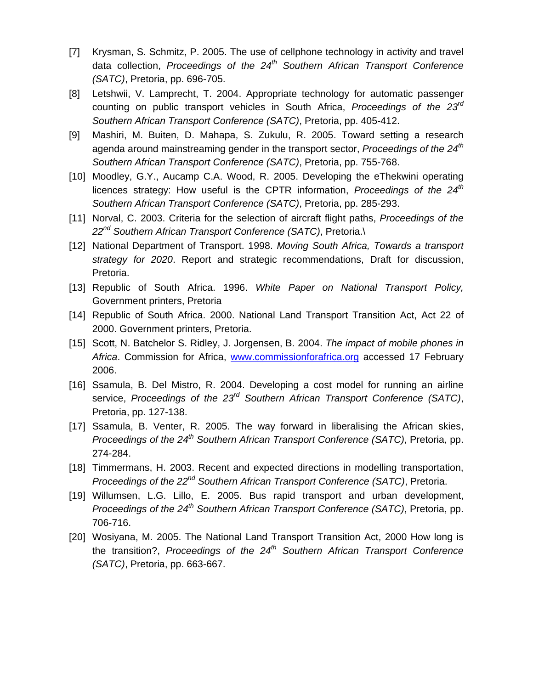- [7] Krysman, S. Schmitz, P. 2005. The use of cellphone technology in activity and travel data collection, Proceedings of the  $24<sup>th</sup>$  Southern African Transport Conference (SATC), Pretoria, pp. 696-705.
- [8] Letshwii, V. Lamprecht, T. 2004. Appropriate technology for automatic passenger counting on public transport vehicles in South Africa, Proceedings of the  $23^{\circ\circ}$ Southern African Transport Conference (SATC), Pretoria, pp. 405-412.
- [9] Mashiri, M. Buiten, D. Mahapa, S. Zukulu, R. 2005. Toward setting a research agenda around mainstreaming gender in the transport sector, *Proceedings of the*  $24<sup>th</sup>$ Southern African Transport Conference (SATC), Pretoria, pp. 755-768.
- [10] Moodley, G.Y., Aucamp C.A. Wood, R. 2005. Developing the eThekwini operating licences strategy: How useful is the CPTR information, *Proceedings of the*  $24<sup>m</sup>$ Southern African Transport Conference (SATC), Pretoria, pp. 285-293.
- [11] Norval, C. 2003. Criteria for the selection of aircraft flight paths, Proceedings of the 22<sup>nd</sup> Southern African Transport Conference (SATC), Pretoria.\
- [12] National Department of Transport. 1998. Moving South Africa, Towards a transport strategy for 2020. Report and strategic recommendations, Draft for discussion, Pretoria.
- [13] Republic of South Africa. 1996. White Paper on National Transport Policy, Government printers, Pretoria
- [14] Republic of South Africa. 2000. National Land Transport Transition Act, Act 22 of 2000. Government printers, Pretoria.
- [15] Scott, N. Batchelor S. Ridley, J. Jorgensen, B. 2004. The impact of mobile phones in Africa. Commission for Africa, www.commissionforafrica.org accessed 17 February 2006.
- [16] Ssamula, B. Del Mistro, R. 2004. Developing a cost model for running an airline service, Proceedings of the  $23<sup>rd</sup>$  Southern African Transport Conference (SATC), Pretoria, pp. 127-138.
- [17] Ssamula, B. Venter, R. 2005. The way forward in liberalising the African skies, Proceedings of the  $24^{th}$  Southern African Transport Conference (SATC), Pretoria, pp. 274-284.
- [18] Timmermans, H. 2003. Recent and expected directions in modelling transportation, Proceedings of the 22<sup>nd</sup> Southern African Transport Conference (SATC), Pretoria.
- [19] Willumsen, L.G. Lillo, E. 2005. Bus rapid transport and urban development, Proceedings of the  $24^{th}$  Southern African Transport Conference (SATC), Pretoria, pp. 706-716.
- [20] Wosiyana, M. 2005. The National Land Transport Transition Act, 2000 How long is the transition?, Proceedings of the  $24<sup>th</sup>$  Southern African Transport Conference (SATC), Pretoria, pp. 663-667.